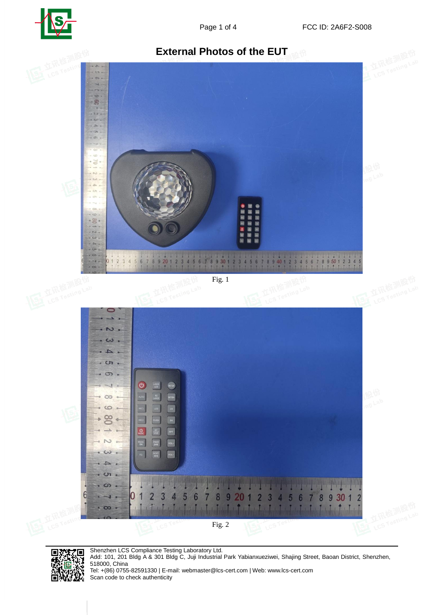





Shenzhen LCS Compliance Testing Laboratory Ltd.

編纂

Щ.

۸5

l s

Ą,

回海战

Add: 101, 201 Bldg A & 301 Bldg C, Juji Industrial Park Yabianxueziwei, Shajing Street, Baoan District, Shenzhen, 518000, China

Tel: +(86) 0755-82591330 | E-mail: webmaster@lcs-cert.com | Web: www.lcs-cert.com Scan code to check authenticity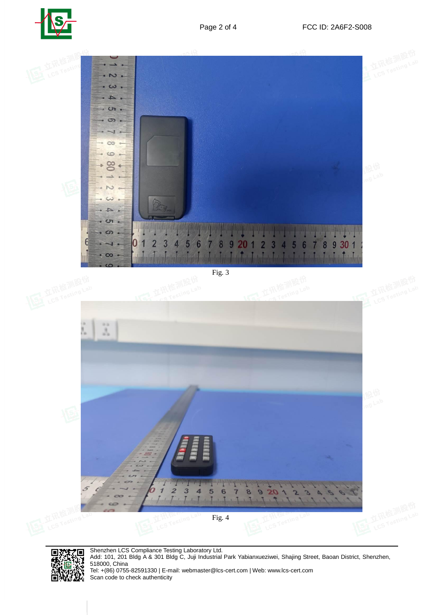



Fig. 3

![](_page_1_Picture_5.jpeg)

編纂 l s <u>лі</u> īЯ. 回流

Shenzhen LCS Compliance Testing Laboratory Ltd. Add: 101, 201 Bldg A & 301 Bldg C, Juji Industrial Park Yabianxueziwei, Shajing Street, Baoan District, Shenzhen, 518000, China Tel: +(86) 0755-82591330 | E-mail: webmaster@lcs-cert.com | Web: www.lcs-cert.com Scan code to check authenticity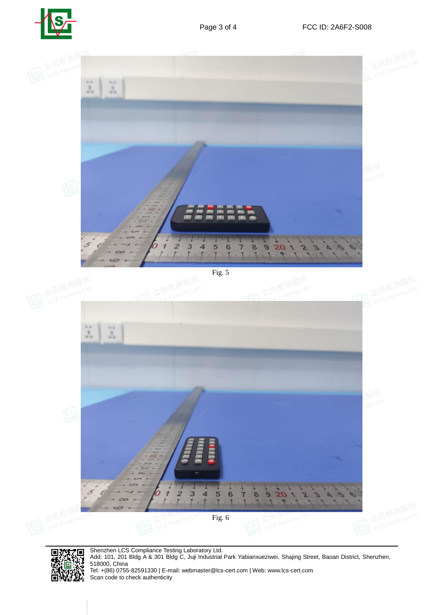![](_page_2_Picture_0.jpeg)

![](_page_2_Picture_3.jpeg)

E ្លា Ñ, ж 回》

Shenzhen LCS Compliance Testing Laboratory Ltd. Add: 101, 201 Bldg A & 301 Bldg C, Juji Industrial Park Yabianxueziwei, Shajing Street, Baoan District, Shenzhen, 518000, China Tel: +(86) 0755-82591330 | E-mail: webmaster@lcs-cert.com | Web: www.lcs-cert.com Scan code to check authenticity